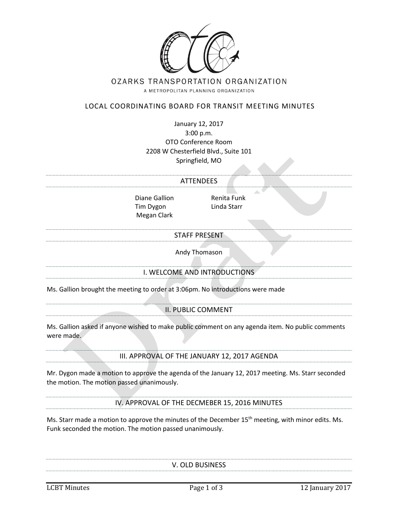

## OZARKS TRANSPORTATION ORGANIZATION

A METROPOLITAN PLANNING ORGANIZATION

## LOCAL COORDINATING BOARD FOR TRANSIT MEETING MINUTES

January 12, 2017 3:00 p.m. OTO Conference Room 2208 W Chesterfield Blvd., Suite 101 Springfield, MO

# ATTENDEES

Diane Gallion Renita Funk Tim Dygon Linda Starr Megan Clark

#### STAFF PRESENT

Andy Thomason

## I. WELCOME AND INTRODUCTIONS

Ms. Gallion brought the meeting to order at 3:06pm. No introductions were made

II. PUBLIC COMMENT

Ms. Gallion asked if anyone wished to make public comment on any agenda item. No public comments were made.

III. APPROVAL OF THE JANUARY 12, 2017 AGENDA

Mr. Dygon made a motion to approve the agenda of the January 12, 2017 meeting. Ms. Starr seconded the motion. The motion passed unanimously.

IV. APPROVAL OF THE DECMEBER 15, 2016 MINUTES

Ms. Starr made a motion to approve the minutes of the December 15<sup>th</sup> meeting, with minor edits. Ms. Funk seconded the motion. The motion passed unanimously.

V. OLD BUSINESS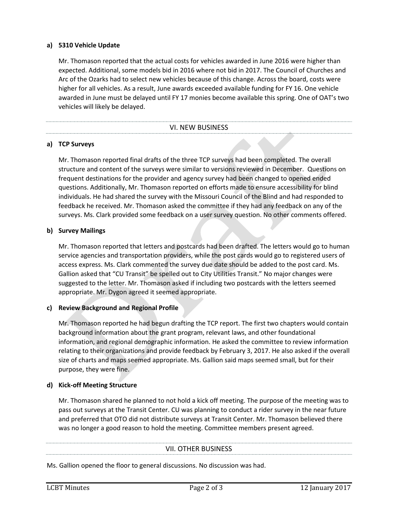## **a) 5310 Vehicle Update**

Mr. Thomason reported that the actual costs for vehicles awarded in June 2016 were higher than expected. Additional, some models bid in 2016 where not bid in 2017. The Council of Churches and Arc of the Ozarks had to select new vehicles because of this change. Across the board, costs were higher for all vehicles. As a result, June awards exceeded available funding for FY 16. One vehicle awarded in June must be delayed until FY 17 monies become available this spring. One of OAT's two vehicles will likely be delayed.

#### VI. NEW BUSINESS

## **a) TCP Surveys**

Mr. Thomason reported final drafts of the three TCP surveys had been completed. The overall structure and content of the surveys were similar to versions reviewed in December. Questions on frequent destinations for the provider and agency survey had been changed to opened ended questions. Additionally, Mr. Thomason reported on efforts made to ensure accessibility for blind individuals. He had shared the survey with the Missouri Council of the Blind and had responded to feedback he received. Mr. Thomason asked the committee if they had any feedback on any of the surveys. Ms. Clark provided some feedback on a user survey question. No other comments offered.

## **b) Survey Mailings**

Mr. Thomason reported that letters and postcards had been drafted. The letters would go to human service agencies and transportation providers, while the post cards would go to registered users of access express. Ms. Clark commented the survey due date should be added to the post card. Ms. Gallion asked that "CU Transit" be spelled out to City Utilities Transit." No major changes were suggested to the letter. Mr. Thomason asked if including two postcards with the letters seemed appropriate. Mr. Dygon agreed it seemed appropriate.

## **c) Review Background and Regional Profile**

Mr. Thomason reported he had begun drafting the TCP report. The first two chapters would contain background information about the grant program, relevant laws, and other foundational information, and regional demographic information. He asked the committee to review information relating to their organizations and provide feedback by February 3, 2017. He also asked if the overall size of charts and maps seemed appropriate. Ms. Gallion said maps seemed small, but for their purpose, they were fine.

## **d) Kick-off Meeting Structure**

Mr. Thomason shared he planned to not hold a kick off meeting. The purpose of the meeting was to pass out surveys at the Transit Center. CU was planning to conduct a rider survey in the near future and preferred that OTO did not distribute surveys at Transit Center. Mr. Thomason believed there was no longer a good reason to hold the meeting. Committee members present agreed.

#### VII. OTHER BUSINESS

Ms. Gallion opened the floor to general discussions. No discussion was had.